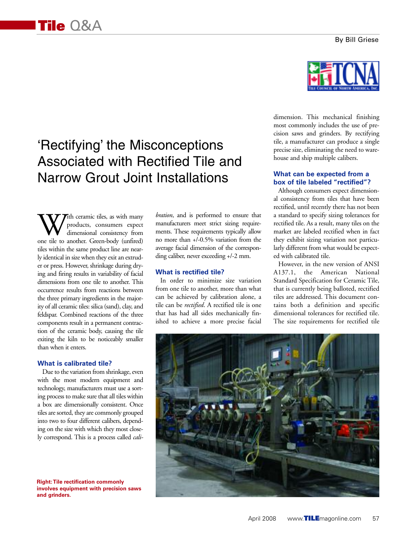# 'Rectifying' the Misconceptions Associated with Rectified Tile and Narrow Grout Joint Installations

With ceramic tiles, as with many<br>dimensional consistency from<br>one tile to another. Green-body (unfired) products, consumers expect dimensional consistency from tiles within the same product line are nearly identical in size when they exit an extruder or press. However, shrinkage during drying and firing results in variability of facial dimensions from one tile to another. This occurrence results from reactions between the three primary ingredients in the majority of all ceramic tiles: silica (sand), clay, and feldspar. Combined reactions of the three components result in a permanent contraction of the ceramic body, causing the tile exiting the kiln to be noticeably smaller than when it enters.

#### **What is calibrated tile?**

Due to the variation from shrinkage, even with the most modern equipment and technology, manufacturers must use a sorting process to make sure that all tiles within a box are dimensionally consistent. Once tiles are sorted, they are commonly grouped into two to four different calibers, depending on the size with which they most closely correspond. This is a process called *cali-*

**Right:Tile rectification commonly involves equipment with precision saws and grinders.**

*bration*, and is performed to ensure that manufacturers meet strict sizing requirements. These requirements typically allow no more than +/-0.5% variation from the average facial dimension of the corresponding caliber, never exceeding +/-2 mm.

#### **What is rectified tile?**

In order to minimize size variation from one tile to another, more than what can be achieved by calibration alone, a tile can be *rectified*. A rectified tile is one that has had all sides mechanically finished to achieve a more precise facial



dimension. This mechanical finishing most commonly includes the use of precision saws and grinders. By rectifying tile, a manufacturer can produce a single precise size, eliminating the need to warehouse and ship multiple calibers.

## **What can be expected from a box of tile labeled "rectified"?**

Although consumers expect dimensional consistency from tiles that have been rectified, until recently there has not been a standard to specify sizing tolerances for rectified tile. As a result, many tiles on the market are labeled rectified when in fact they exhibit sizing variation not particularly different from what would be expected with calibrated tile.

However, in the new version of ANSI A137.1, the American National Standard Specification for Ceramic Tile, that is currently being balloted, rectified tiles are addressed. This document contains both a definition and specific dimensional tolerances for rectified tile. The size requirements for rectified tile